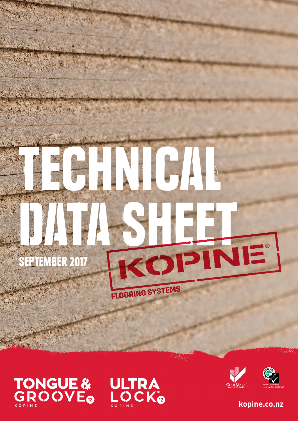# ICI COPINE SEPTEMBER 2017 FLOORING SYSTEMS



 $\mathcal{S}_1$  ,  $\mathcal{S}_2$ 

A. WART AF

**ULTRA<br>LOCK®** 





**kopine.co.nz**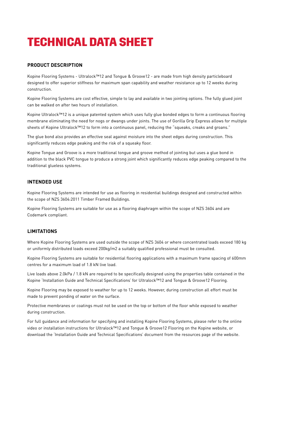# **TECHNICAL DATA SHEET**

# **PRODUCT DESCRIPTION**

Kopine Flooring Systems - Ultralock™12 and Tongue & Groove12 - are made from high density particleboard designed to offer superior stiffness for maximum span capability and weather resistance up to 12 weeks during construction.

Kopine Flooring Systems are cost effective, simple to lay and available in two jointing options. The fully glued joint can be walked on after two hours of installation.

Kopine Ultralock™12 is a unique patented system which uses fully glue bonded edges to form a continuous flooring membrane eliminating the need for nogs or dwangs under joints. The use of Gorilla Grip Express allows for multiple sheets of Kopine Ultralock™12 to form into a continuous panel, reducing the "squeaks, creaks and groans."

The glue bond also provides an effective seal against moisture into the sheet edges during construction. This significantly reduces edge peaking and the risk of a squeaky floor.

Kopine Tongue and Groove is a more traditional tongue and groove method of jointing but uses a glue bond in addition to the black PVC tongue to produce a strong joint which significantly reduces edge peaking compared to the traditional glueless systems.

## **INTENDED USE**

Kopine Flooring Systems are intended for use as flooring in residential buildings designed and constructed within the scope of NZS 3604:2011 Timber Framed Buildings.

Kopine Flooring Systems are suitable for use as a flooring diaphragm within the scope of NZS 3604 and are Codemark compliant.

# **LIMITATIONS**

Where Kopine Flooring Systems are used outside the scope of NZS 3604 or where concentrated loads exceed 180 kg or uniformly distributed loads exceed 200kg/m2 a suitably qualified professional must be consulted.

Kopine Flooring Systems are suitable for residential flooring applications with a maximum frame spacing of 600mm centres for a maximum load of 1.8 kN live load.

Live loads above 2.0kPa / 1.8 kN are required to be specifically designed using the properties table contained in the Kopine 'Installation Guide and Technical Specifications' for Ultralock™12 and Tongue & Groove12 Flooring.

Kopine Flooring may be exposed to weather for up to 12 weeks. However, during construction all effort must be made to prevent ponding of water on the surface.

Protective membranes or coatings must not be used on the top or bottom of the floor while exposed to weather during construction.

For full guidance and information for specifying and installing Kopine Flooring Systems, please refer to the online video or installation instructions for Ultralock™12 and Tongue & Groove12 Flooring on the Kopine website, or download the 'Installation Guide and Technical Specifications' document from the resources page of the website.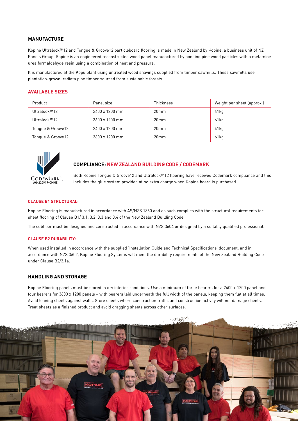# **MANUFACTURE**

Kopine Ultralock™12 and Tongue & Groove12 particleboard flooring is made in New Zealand by Kopine, a business unit of NZ Panels Group. Kopine is an engineered reconstructed wood panel manufactured by bonding pine wood particles with a melamine urea formaldehyde resin using a combination of heat and pressure.

It is manufactured at the Kopu plant using untreated wood shavings supplied from timber sawmills. These sawmills use plantation-grown, radiata pine timber sourced from sustainable forests.

# **AVAILABLE SIZES**

| Product           | Panel size     | <b>Thickness</b> | Weight per sheet (approx.) |
|-------------------|----------------|------------------|----------------------------|
| Ultralock™12      | 2400 x 1200 mm | 20 <sub>mm</sub> | 41kg                       |
| Ultralock™12      | 3600 x 1200 mm | 20 <sub>mm</sub> | 61kg                       |
| Tongue & Groove12 | 2400 x 1200 mm | 20 <sub>mm</sub> | 41kg                       |
| Tongue & Groove12 | 3600 x 1200 mm | 20 <sub>mm</sub> | 61kg                       |



## **COMPLIANCE: NEW ZEALAND BUILDING CODE / CODEMARK**

Both Kopine Tongue & Groove12 and Ultralock™12 flooring have received Codemark compliance and this includes the glue system provided at no extra charge when Kopine board is purchased.

#### **CLAUSE B1 STRUCTURAL:**

Kopine Flooring is manufactured in accordance with AS/NZS 1860 and as such complies with the structural requirements for sheet flooring of Clause B1/ 3.1, 3.2, 3.3 and 3.4 of the New Zealand Building Code.

The subfloor must be designed and constructed in accordance with NZS 3604 or designed by a suitably qualified professional.

#### **CLAUSE B2 DURABILITY:**

When used installed in accordance with the supplied 'Installation Guide and Technical Specifications' document, and in accordance with NZS 3602, Kopine Flooring Systems will meet the durability requirements of the New Zealand Building Code under Clause B2/3.1a.

# **HANDLING AND STORAGE**

Kopine Flooring panels must be stored in dry interior conditions. Use a minimum of three bearers for a 2400 x 1200 panel and four bearers for 3600 x 1200 panels – with bearers laid underneath the full width of the panels, keeping them flat at all times. Avoid leaning sheets against walls. Store sheets where construction traffic and construction activity will not damage sheets. Treat sheets as a finished product and avoid dragging sheets across other surfaces.